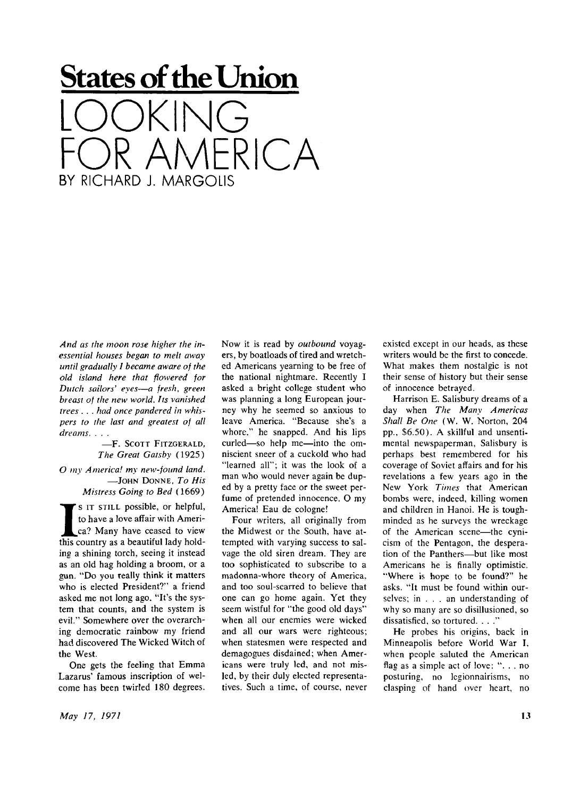## **States of the Union**  LOOKING  $R$  $\cap$  $A$ BY RICHARD J. MARGOLIS

*And as the moon rose higher the inessential houses began to melt away until gradually I became aware of the old island here that flowered for Dutch sailors' eyes—a fresh, green breast of the new world. Its vanished trees . . . had once pandered in whispers to the last and greatest of all dreams. . . .* 

-F. SCOTT FITZGERALD, *The Great Gatsby* (1925) *O my America! my new-found land.*   $-$ JOHN DONNE, To His *Mistress Going to Bed* (1669 )

**I**S IT STILL possible, or helpful, to have a love affair with America? Many have ceased to view this country as a beautiful lady holds IT STILL possible, or helpful, to have a love affair with America? Many have ceased to view ing a shining torch, seeing it instead as an old hag holding a broom, or a gun. "Do you really think it matters who is elected President?" a friend asked me not long ago. "It's the system that counts, and the system is evil." Somewhere over the overarching democratic rainbow my friend had discovered The Wicked Witch of the West.

One gets the feeling that Emma Lazarus' famous inscription of welcome has been twirled 180 degrees.

Now it is read by *outbound* voyagers, by boatloads of tired and wretched Americans yearning to be free of the national nightmare. Recently I asked a bright college student who was planning a long European journey why he seemed so anxious to leave America. "Because she's a whore," he snapped. And his lips curled—so help me—into the omniscient sneer of a cuckold who had "learned all"; it was the look of a man who would never again be duped by a pretty face or the sweet perfume of pretended innocence. O my America! Eau de cologne!

Four writers, all originally from the Midwest or the South, have attempted with varying success to salvage the old siren dream. They are too sophisticated to subscribe to a madonna-whore theory of America, and too soul-scarred to believe that one can go home again. Yet they seem wistful for "the good old days" when all our enemies were wicked and all our wars were righteous; when statesmen were respected and demagogues disdained; when Americans were truly led, and not misled, by their duly elected representatives. Such a time, of course, never

existed except in our heads, as these writers would be the first to concede. What makes them nostalgic is not their sense of history but their sense of innocence betrayed.

Harrison E. Salisbury dreams of a day when *The Many Americas Shall Be One* (W. W. Norton, 204 pp., \$6.50). A skillful and unsentimental newspaperman, Salisbury is perhaps best remembered for his coverage of Soviet affairs and for his revelations a few years ago in the New York *Times* that American bombs were, indeed, killing women and children in Hanoi. He is toughminded as he surveys the wreckage of the American scene—the cynicism of the Pentagon, the desperation of the Panthers—but like most Americans he is finally optimistic. "Where is hope to be found?" he asks. "It must be found within ourselves; in .. . an understanding of why so many are so disillusioned, so dissatisfied, so tortured. . . ."

He probes his origins, back in Minneapolis before World War I, when people saluted the American flag as a simple act of love: "... no posturing, no legionnairisms, no clasping of hand over heart, no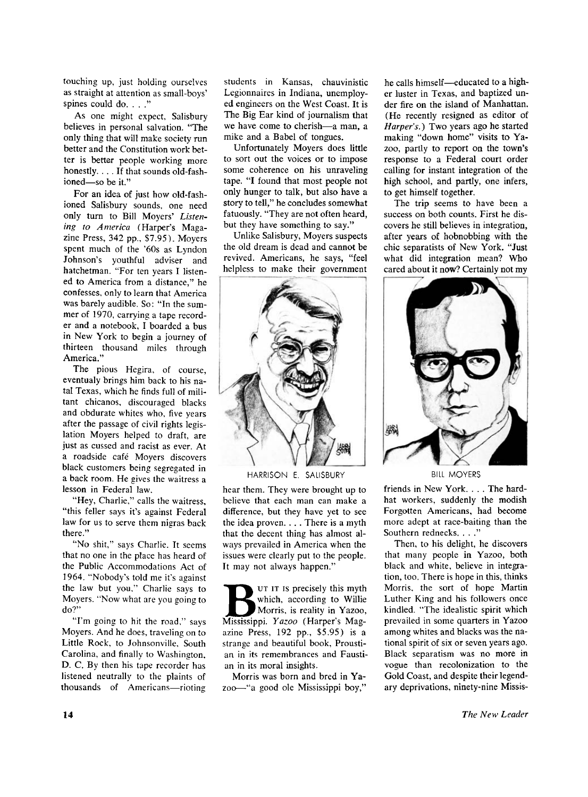touching up, just holding ourselves as straight at attention as small-boys' spines could do. . . ."

As one might expect, Salisbury believes in personal salvation. "The only thing that will make society run better and the Constitution work better is better people working more honestly. .. . If that sounds old-fashioned—so be it."

For an idea of just how old-fashioned Salisbury sounds, one need only turn to Bill Moyers' *Listening to America* (Harper's Magazine Press, 342 pp., \$7.95). Moyers spent much of the '60s as Lyndon Johnson's youthful adviser and hatchetman. "For ten years I listened to America from a distance," he confesses, only to learn that America was barely audible. So: "In the summer of 1970, carrying a tape recorder and a notebook, I boarded a bus in New York to begin a journey of thirteen thousand miles through America."

The pious Hegira, of course, eventualy brings him back to his natal Texas, which he finds full of militant chicanos, discouraged blacks and obdurate whites who, five years after the passage of civil rights legislation Moyers helped to draft, are just as cussed and racist as ever. At a roadside cafe Moyers discovers black customers being segregated in a back room. He gives the waitress a lesson in Federal law.

"Hey, Charlie," calls the waitress, "this feller says it's against Federal law for us to serve them nigras back there."

"No shit," says Charlie. It seems that no one in the place has heard of the Public Accommodations Act of 1964. "Nobody's told me it's against the law but you," Charlie says to Moyers. "Now what are you going to do?"

"I'm going to hit the road," says Moyers. And he does, traveling on to Little Rock, to Johnsonville, South Carolina, and finally to Washington, D. C. By then his tape recorder has listened neutrally to the plaints of thousands of Americans—rioting

students in Kansas, chauvinistic Legionnaires in Indiana, unemployed engineers on the West Coast. It is The Big Ear kind of journalism that we have come to cherish—a man, a mike and a Babel of tongues.

Unfortunately Moyers does little to sort out the voices or to impose some coherence on his unraveling tape. "I found that most people not only hunger to talk, but also have a story to tell," he concludes somewhat fatuously. "They are not often heard, but they have something to say."

Unlike Salisbury, Moyers suspects the old dream is dead and cannot be revived. Americans, he says, "feel helpless to make their government



HARRISON E. SALISBURY

hear them. They were brought up to believe that each man can make a difference, but they have yet to see the idea proven. . . . There is a myth that the decent thing has almost always prevailed in America when the issues were clearly put to the people. It may not always happen."

UT IT IS precisely this myth<br>
which, according to Willie<br>
Mississippi. *Yazoo* (Harper's Mag-UT IT IS precisely this myth which, according to Willie Morris, is reality in Yazoo, azine Press, 192 pp., \$5.95) is a strange and beautiful book, Proustian in its remembrances and Faustian in its moral insights.

Morris was born and bred in Ya zoo—"a good ole Mississippi boy," he calls himself—educated to a higher luster in Texas, and baptized under fire on the island of Manhattan. (He recently resigned as editor of *Harper's.*) Two years ago he started making "down home" visits to Ya zoo, partly to report on the town's response to a Federal court order calling for instant integration of the high school, and partly, one infers, to get himself together.

The trip seems to have been a success on both counts. First he discovers he still believes in integration, after years of hobnobbing with the chic separatists of New York. "Just what did integration mean? Who cared about it now? Certainly not my



BILL MOYERS

friends in New York. . . . The hardhat workers, suddenly the modish Forgotten Americans, had become more adept at race-baiting than the Southern rednecks. . . ."

Then, to his delight, he discovers that many people in Yazoo, both black and white, believe in integration, too. There is hope in this, thinks Morris, the sort of hope Martin Luther King and his followers once kindled. "The idealistic spirit which prevailed in some quarters in Yazoo among whites and blacks was the national spirit of six or seven years ago. Black separatism was no more in vogue than recolonization to the Gold Coast, and despite their legendary deprivations, ninety-nine Missis-